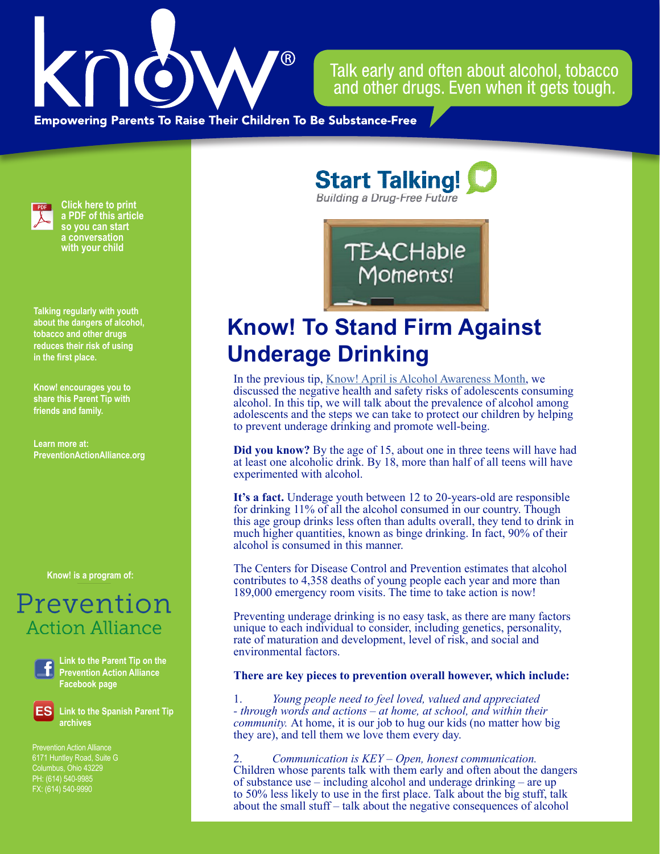

Talk early and often about alcohol, tobacco and other drugs. Even when it gets tough.

**Empowering Parents To Raise Their Children To Be Substance-Free** 



**Click here to print a PDF of this article so you can start a conversation with your child**

**Talking regularly with youth about the dangers of alcohol, tobacco and other drugs reduces their risk of using in the first place.**

**Know! encourages you to share this Parent Tip with friends and family.**

**Learn more at: PreventionActionAlliance.org**

**Know! is a program of:**

# Prevention **Action Alliance**

**Link to the Parent Tip on the Prevention Action Alliance Facebook page**

**Link to the Spanish Parent Tip archives**

6171 Huntley Road, Suite G Columbus, Ohio 43229 PH: (614) 540-9985 FX: (614) 540-9990

**Start Talking! Building a Drug-Free Future** 



# **Know! To Stand Firm Against Underage Drinking**

In the previous tip, [Know! April is Alcohol Awareness Month,](https://preventionactionalliance.org/advocate/newsletters/know-april-is-alcohol-awareness-month-4/) we discussed the negative health and safety risks of adolescents consuming alcohol. In this tip, we will talk about the prevalence of alcohol among adolescents and the steps we can take to protect our children by helping to prevent underage drinking and promote well-being.

**Did you know?** By the age of 15, about one in three teens will have had at least one alcoholic drink. By 18, more than half of all teens will have experimented with alcohol.

**It's a fact.** Underage youth between 12 to 20-years-old are responsible for drinking 11% of all the alcohol consumed in our country. Though this age group drinks less often than adults overall, they tend to drink in much higher quantities, known as binge drinking. In fact, 90% of their alcohol is consumed in this manner.

The Centers for Disease Control and Prevention estimates that alcohol contributes to 4,358 deaths of young people each year and more than 189,000 emergency room visits. The time to take action is now!

Preventing underage drinking is no easy task, as there are many factors unique to each individual to consider, including genetics, personality, rate of maturation and development, level of risk, and social and environmental factors.

### **There are key pieces to prevention overall however, which include:**

1. *Young people need to feel loved, valued and appreciated - through words and actions – at home, at school, and within their community.* At home, it is our job to hug our kids (no matter how big they are), and tell them we love them every day.

2. *Communication is KEY – Open, honest communication.* Children whose parents talk with them early and often about the dangers of substance use – including alcohol and underage drinking – are up to 50% less likely to use in the first place. Talk about the big stuff, talk about the small stuff – talk about the negative consequences of alcohol